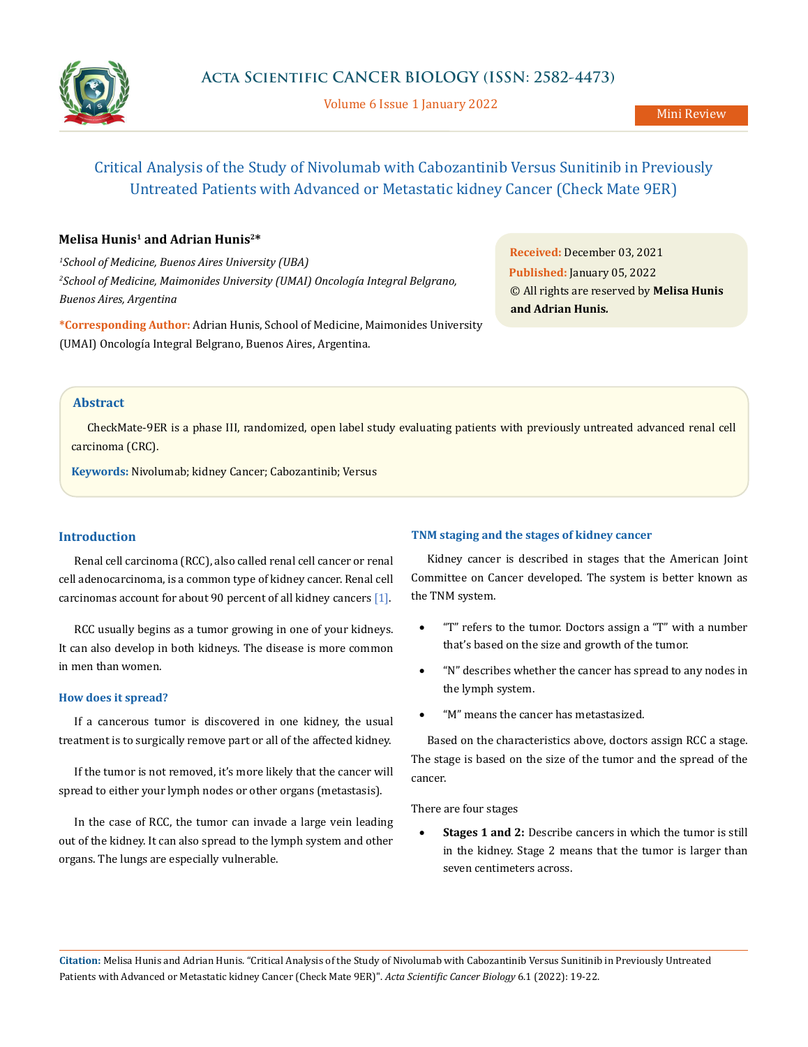

Volume 6 Issue 1 January 2022

# Critical Analysis of the Study of Nivolumab with Cabozantinib Versus Sunitinib in Previously Untreated Patients with Advanced or Metastatic kidney Cancer (Check Mate 9ER)

### **Melisa Hunis1 and Adrian Hunis2\***

*1 School of Medicine, Buenos Aires University (UBA) 2 School of Medicine, Maimonides University (UMAI) Oncología Integral Belgrano, Buenos Aires, Argentina*

**\*Corresponding Author:** Adrian Hunis, School of Medicine, Maimonides University (UMAI) Oncología Integral Belgrano, Buenos Aires, Argentina.

**Received:** December 03, 2021 **Published:** January 05, 2022 © All rights are reserved by **Melisa Hunis and Adrian Hunis***.*

#### **Abstract**

CheckMate-9ER is a phase III, randomized, open label study evaluating patients with previously untreated advanced renal cell carcinoma (CRC).

**Keywords:** Nivolumab; kidney Cancer; Cabozantinib; Versus

#### **Introduction**

Renal cell carcinoma (RCC), also called renal cell cancer or renal cell adenocarcinoma, is a common type of kidney cancer. Renal cell carcinomas account for about [90 percent](http://www.cancer.org/cancer/kidneycancer/detailedguide/kidney-cancer-adult-what-is-kidney-cancer) of all kidney cancers [1].

RCC usually begins as a tumor growing in one of your kidneys. It can also develop in both kidneys. The disease is more common in men than women.

#### **How does it spread?**

If a cancerous tumor is discovered in one kidney, the usual treatment is to surgically remove part or all of the affected kidney.

If the tumor is not removed, it's more likely that the cancer will spread to either your lymph nodes or other organs [\(metastasis](https://www.healthline.com/health/metastatic-renal-cell-carcinoma)).

In the case of RCC, the tumor can invade a large vein leading out of the kidney. It can also spread to the lymph system and other organs. The lungs are especially vulnerable.

#### **TNM staging and the stages of kidney cancer**

Kidney cancer is described in stages that the [American Joint](https://cancerstaging.org/references-tools/Pages/What-is-Cancer-Staging.aspx) [Committee on Cancer](https://cancerstaging.org/references-tools/Pages/What-is-Cancer-Staging.aspx) developed. The system is better known as the TNM system.

- "T" refers to the tumor. Doctors assign a "T" with a number that's based on the size and growth of the tumor.
- "N" describes whether the cancer has spread to any nodes in the lymph system.
- "M" means the cancer has metastasized.

Based on the characteristics above, doctors assign RCC a stage. The stage is based on the size of the tumor and the spread of the cancer.

There are four stages

**Stages 1 and 2:** Describe cancers in which the tumor is still in the kidney. Stage 2 means that the tumor is larger than seven centimeters across.

**Citation:** Melisa Hunis and Adrian Hunis*.* "Critical Analysis of the Study of Nivolumab with Cabozantinib Versus Sunitinib in Previously Untreated Patients with Advanced or Metastatic kidney Cancer (Check Mate 9ER)". *Acta Scientific Cancer Biology* 6.1 (2022): 19-22.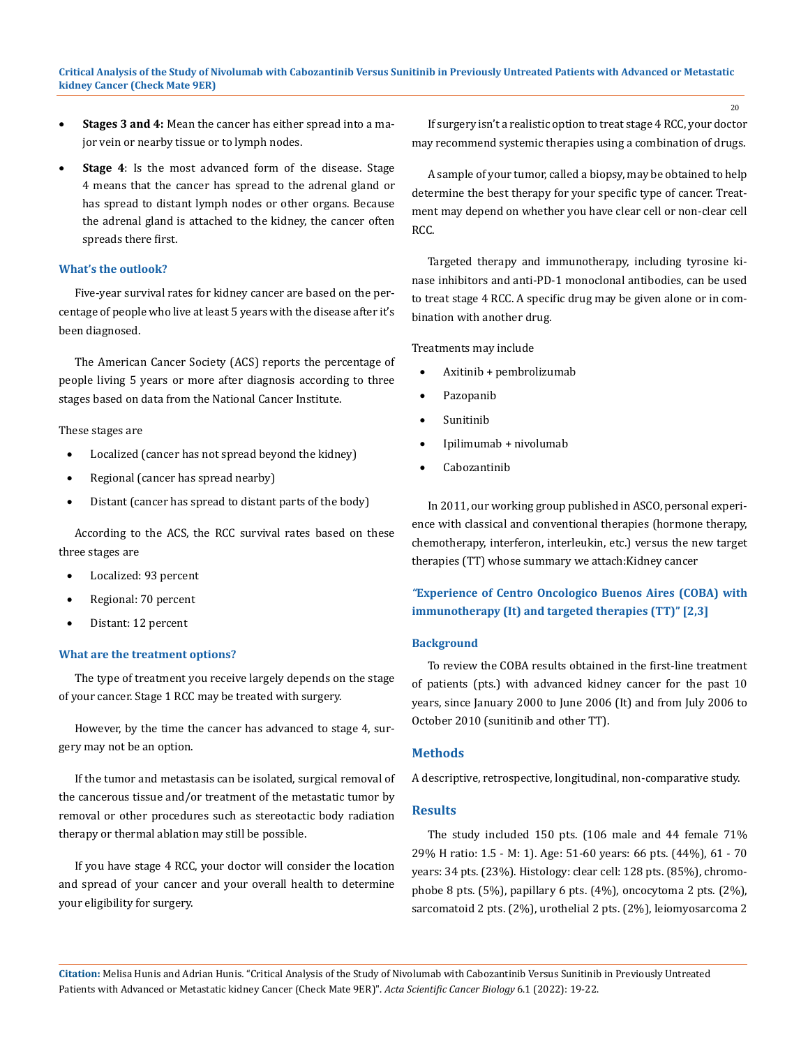- • **Stages 3 and 4:** Mean the cancer has either spread into a major vein or nearby tissue or to lymph nodes.
- **Stage 4**: Is the most advanced form of the disease. Stage 4 means that the cancer has spread to the adrenal gland or has spread to distant lymph nodes or other organs. Because the adrenal gland is attached to the kidney, the cancer often spreads there first.

#### **What's the outlook?**

Five-year survival rates for kidney cancer are based on the percentage of people who live at least 5 years with the disease after it's been diagnosed.

The [American Cancer Society](https://www.cancer.org/cancer/kidney-cancer/detection-diagnosis-staging/survival-rates.html) (ACS) reports the percentage of people living 5 years or more after diagnosis according to three stages based on data from the National Cancer Institute.

These stages are

- Localized (cancer has not spread beyond the kidney)
- Regional (cancer has spread nearby)
- Distant (cancer has spread to distant parts of the body)

According to the ACS, the RCC survival rates based on these three stages are

- Localized: [93 percent](https://www.cancer.org/cancer/kidney-cancer/detection-diagnosis-staging/survival-rates.html)
- Regional: 70 percent
- Distant: 12 percent

#### **What are the treatment options?**

The type of treatment you receive largely depends on the stage of your cancer. Stage 1 RCC may be treated with surgery.

However, by the time the cancer has advanced to stage 4, surgery may not be an option.

If the tumor and metastasis can be isolated, surgical removal of the cancerous tissue and/or treatment of the metastatic tumor by removal or other procedures such as stereotactic body radiation therapy or thermal ablation may still be possible.

If you have stage 4 RCC, your doctor will consider the location and spread of your cancer and your overall health to determine your eligibility for surgery.

If surgery isn't a realistic option to treat stage 4 RCC, your doctor may recommend systemic therapies using a combination of drugs.

A sample of your tumor, called a biopsy, may be obtained to help determine the best therapy for your specific type of cancer. Treatment may depend on whether you have clear cell or non-clear cell RCC.

Targeted therapy and immunotherapy, including tyrosine kinase inhibitors and anti-PD-1 monoclonal antibodies, can be used to treat stage 4 RCC. A specific drug may be given alone or in combination with another drug.

Treatments may include

- Axitinib + pembrolizumab
- Pazopanib
- Sunitinib
- Ipilimumab + nivolumab
- **Cabozantinib**

In 2011, our working group published in ASCO, personal experience with classical and conventional therapies (hormone therapy, chemotherapy, interferon, interleukin, etc.) versus the new target therapies (TT) whose summary we attach:Kidney cancer

### *"***Experience of Centro Oncologico Buenos Aires (COBA) with immunotherapy (It) and targeted therapies (TT)" [2,3]**

#### **Background**

To review the COBA results obtained in the first-line treatment of patients (pts.) with advanced kidney cancer for the past 10 years, since January 2000 to June 2006 (It) and from July 2006 to October 2010 (sunitinib and other TT).

#### **Methods**

A descriptive, retrospective, longitudinal, non-comparative study.

#### **Results**

The study included 150 pts. (106 male and 44 female 71% 29% H ratio: 1.5 - M: 1). Age: 51-60 years: 66 pts. (44%), 61 - 70 years: 34 pts. (23%). Histology: clear cell: 128 pts. (85%), chromophobe 8 pts. (5%), papillary 6 pts. (4%), oncocytoma 2 pts. (2%), sarcomatoid 2 pts. (2%), urothelial 2 pts. (2%), leiomyosarcoma 2

**Citation:** Melisa Hunis and Adrian Hunis*.* "Critical Analysis of the Study of Nivolumab with Cabozantinib Versus Sunitinib in Previously Untreated Patients with Advanced or Metastatic kidney Cancer (Check Mate 9ER)". *Acta Scientific Cancer Biology* 6.1 (2022): 19-22.

20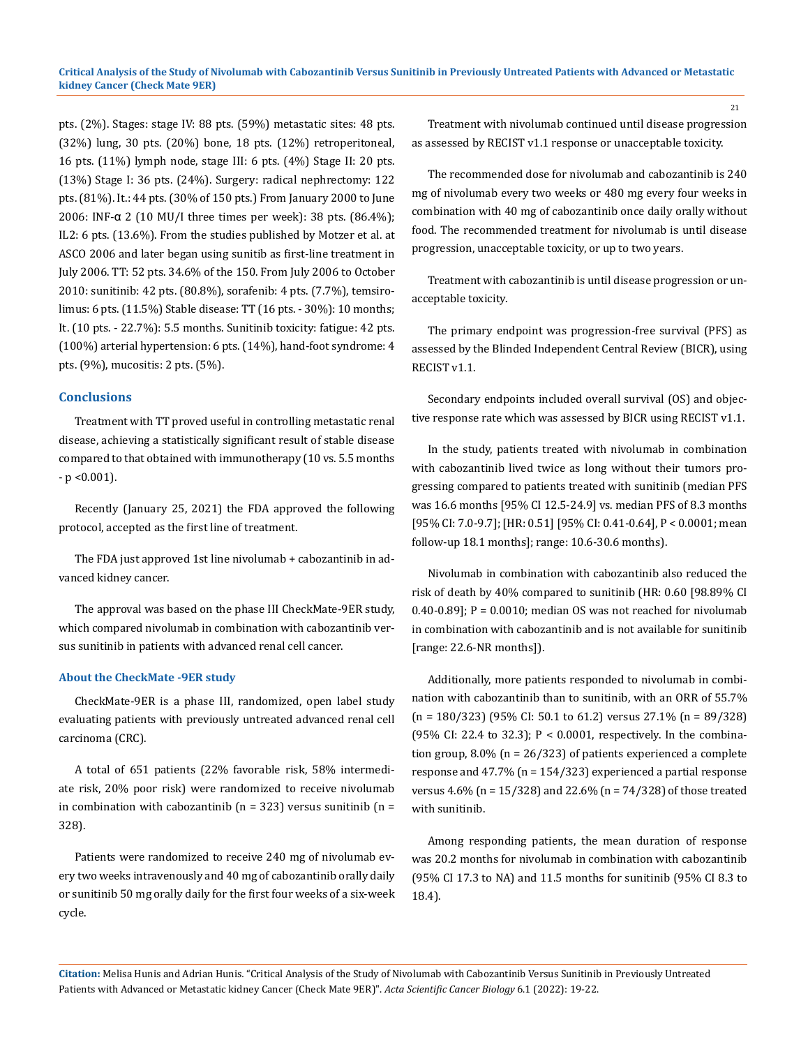pts. (2%). Stages: stage IV: 88 pts. (59%) metastatic sites: 48 pts. (32%) lung, 30 pts. (20%) bone, 18 pts. (12%) retroperitoneal, 16 pts. (11%) lymph node, stage III: 6 pts. (4%) Stage II: 20 pts. (13%) Stage I: 36 pts. (24%). Surgery: radical nephrectomy: 122 pts. (81%). It.: 44 pts. (30% of 150 pts.) From January 2000 to June 2006: INF-α 2 (10 MU/I three times per week): 38 pts. (86.4%); IL2: 6 pts. (13.6%). From the studies published by Motzer et al. at ASCO 2006 and later began using sunitib as first-line treatment in July 2006. TT: 52 pts. 34.6% of the 150. From July 2006 to October 2010: sunitinib: 42 pts. (80.8%), sorafenib: 4 pts. (7.7%), temsirolimus: 6 pts. (11.5%) Stable disease: TT (16 pts. - 30%): 10 months; It. (10 pts. - 22.7%): 5.5 months. Sunitinib toxicity: fatigue: 42 pts. (100%) arterial hypertension: 6 pts. (14%), hand-foot syndrome: 4 pts. (9%), mucositis: 2 pts. (5%).

#### **Conclusions**

Treatment with TT proved useful in controlling metastatic renal disease, achieving a statistically significant result of stable disease compared to that obtained with immunotherapy (10 vs. 5.5 months - p <0.001).

Recently (January 25, 2021) the FDA approved the following protocol, accepted as the first line of treatment.

The FDA just approved 1st line nivolumab + cabozantinib in advanced kidney cancer.

The approval was based on the phase III CheckMate-9ER study, which compared nivolumab in combination with cabozantinib versus sunitinib in patients with advanced renal cell cancer.

#### **About the CheckMate -9ER study**

CheckMate-9ER is a phase III, randomized, open label study evaluating patients with previously untreated advanced renal cell carcinoma (CRC).

A total of 651 patients (22% favorable risk, 58% intermediate risk, 20% poor risk) were randomized to receive nivolumab in combination with cabozantinib ( $n = 323$ ) versus sunitinib ( $n =$ 328).

Patients were randomized to receive 240 mg of nivolumab every two weeks intravenously and 40 mg of cabozantinib orally daily or sunitinib 50 mg orally daily for the first four weeks of a six-week cycle.

Treatment with nivolumab continued until disease progression as assessed by RECIST v1.1 response or unacceptable toxicity.

The recommended dose for nivolumab and cabozantinib is 240 mg of nivolumab every two weeks or 480 mg every four weeks in combination with 40 mg of cabozantinib once daily orally without food. The recommended treatment for nivolumab is until disease progression, unacceptable toxicity, or up to two years.

Treatment with cabozantinib is until disease progression or unacceptable toxicity.

The primary endpoint was progression-free survival (PFS) as assessed by the Blinded Independent Central Review (BICR), using RECIST v1.1.

Secondary endpoints included overall survival (OS) and objective response rate which was assessed by BICR using RECIST v1.1.

In the study, patients treated with nivolumab in combination with cabozantinib lived twice as long without their tumors progressing compared to patients treated with sunitinib (median PFS was 16.6 months [95% CI 12.5-24.9] vs. median PFS of 8.3 months [95% CI: 7.0-9.7]; [HR: 0.51] [95% CI: 0.41-0.64], P < 0.0001; mean follow-up 18.1 months]; range: 10.6-30.6 months).

Nivolumab in combination with cabozantinib also reduced the risk of death by 40% compared to sunitinib (HR: 0.60 [98.89% CI 0.40-0.89]; P = 0.0010; median OS was not reached for nivolumab in combination with cabozantinib and is not available for sunitinib [range: 22.6-NR months]).

Additionally, more patients responded to nivolumab in combination with cabozantinib than to sunitinib, with an ORR of 55.7%  $(n = 180/323)$  (95% CI: 50.1 to 61.2) versus 27.1%  $(n = 89/328)$ (95% CI: 22.4 to 32.3); P < 0.0001, respectively. In the combination group, 8.0% (n = 26/323) of patients experienced a complete response and 47.7% (n = 154/323) experienced a partial response versus 4.6% (n = 15/328) and 22.6% (n = 74/328) of those treated with sunitinib.

Among responding patients, the mean duration of response was 20.2 months for nivolumab in combination with cabozantinib (95% CI 17.3 to NA) and 11.5 months for sunitinib (95% CI 8.3 to 18.4).

**Citation:** Melisa Hunis and Adrian Hunis*.* "Critical Analysis of the Study of Nivolumab with Cabozantinib Versus Sunitinib in Previously Untreated Patients with Advanced or Metastatic kidney Cancer (Check Mate 9ER)". *Acta Scientific Cancer Biology* 6.1 (2022): 19-22.

21